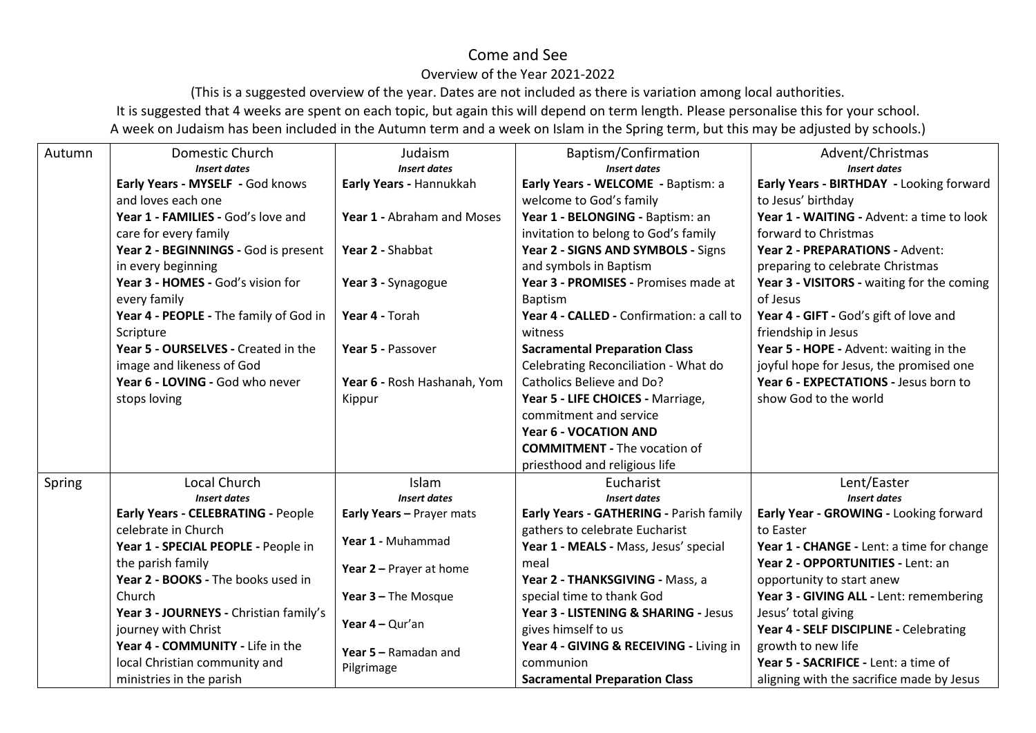## Come and See

## Overview of the Year 2021-2022

(This is a suggested overview of the year. Dates are not included as there is variation among local authorities. It is suggested that 4 weeks are spent on each topic, but again this will depend on term length. Please personalise this for your school. A week on Judaism has been included in the Autumn term and a week on Islam in the Spring term, but this may be adjusted by schools.)

| Autumn | Domestic Church                                                   | Judaism                            | Baptism/Confirmation                      | Advent/Christmas                           |
|--------|-------------------------------------------------------------------|------------------------------------|-------------------------------------------|--------------------------------------------|
|        | <b>Insert dates</b>                                               | <b>Insert dates</b>                | <b>Insert dates</b>                       | <b>Insert dates</b>                        |
|        | Early Years - MYSELF - God knows                                  | Early Years - Hannukkah            | Early Years - WELCOME - Baptism: a        | Early Years - BIRTHDAY - Looking forward   |
|        | and loves each one                                                |                                    | welcome to God's family                   | to Jesus' birthday                         |
|        | Year 1 - FAMILIES - God's love and                                | Year 1 - Abraham and Moses         | Year 1 - BELONGING - Baptism: an          | Year 1 - WAITING - Advent: a time to look  |
|        | care for every family                                             |                                    | invitation to belong to God's family      | forward to Christmas                       |
|        | Year 2 - BEGINNINGS - God is present                              | Year 2 - Shabbat                   | Year 2 - SIGNS AND SYMBOLS - Signs        | Year 2 - PREPARATIONS - Advent:            |
|        | in every beginning                                                |                                    | and symbols in Baptism                    | preparing to celebrate Christmas           |
|        | Year 3 - HOMES - God's vision for                                 | Year 3 - Synagogue                 | Year 3 - PROMISES - Promises made at      | Year 3 - VISITORS - waiting for the coming |
|        | every family                                                      |                                    | <b>Baptism</b>                            | of Jesus                                   |
|        | Year 4 - PEOPLE - The family of God in                            | Year 4 - Torah                     | Year 4 - CALLED - Confirmation: a call to | Year 4 - GIFT - God's gift of love and     |
|        | Scripture                                                         |                                    | witness                                   | friendship in Jesus                        |
|        | Year 5 - OURSELVES - Created in the                               | Year 5 - Passover                  | <b>Sacramental Preparation Class</b>      | Year 5 - HOPE - Advent: waiting in the     |
|        | image and likeness of God                                         |                                    | Celebrating Reconciliation - What do      | joyful hope for Jesus, the promised one    |
|        | Year 6 - LOVING - God who never                                   | Year 6 - Rosh Hashanah, Yom        | Catholics Believe and Do?                 | Year 6 - EXPECTATIONS - Jesus born to      |
|        | stops loving                                                      | Kippur                             | Year 5 - LIFE CHOICES - Marriage,         | show God to the world                      |
|        |                                                                   |                                    | commitment and service                    |                                            |
|        |                                                                   |                                    | Year 6 - VOCATION AND                     |                                            |
|        |                                                                   |                                    | <b>COMMITMENT - The vocation of</b>       |                                            |
|        |                                                                   |                                    | priesthood and religious life             |                                            |
| Spring | <b>Local Church</b>                                               | Islam                              | Eucharist                                 | Lent/Easter                                |
|        | <b>Insert dates</b>                                               | <b>Insert dates</b>                | <b>Insert dates</b>                       | <b>Insert dates</b>                        |
|        | Early Years - CELEBRATING - People                                | Early Years - Prayer mats          | Early Years - GATHERING - Parish family   | Early Year - GROWING - Looking forward     |
|        | celebrate in Church                                               | Year 1 - Muhammad                  | gathers to celebrate Eucharist            | to Easter                                  |
|        | Year 1 - SPECIAL PEOPLE - People in                               |                                    | Year 1 - MEALS - Mass, Jesus' special     | Year 1 - CHANGE - Lent: a time for change  |
|        | the parish family                                                 | Year $2$ – Prayer at home          | meal                                      | Year 2 - OPPORTUNITIES - Lent: an          |
|        | Year 2 - BOOKS - The books used in                                |                                    | Year 2 - THANKSGIVING - Mass, a           | opportunity to start anew                  |
|        | Church                                                            | Year $3$ – The Mosque              | special time to thank God                 | Year 3 - GIVING ALL - Lent: remembering    |
|        | Year 3 - JOURNEYS - Christian family's                            |                                    | Year 3 - LISTENING & SHARING - Jesus      | Jesus' total giving                        |
|        | journey with Christ                                               | Year $4 - Qur'an$                  | gives himself to us                       | Year 4 - SELF DISCIPLINE - Celebrating     |
|        | Year 4 - COMMUNITY - Life in the<br>local Christian community and | Year 5 - Ramadan and<br>Pilgrimage | Year 4 - GIVING & RECEIVING - Living in   | growth to new life                         |
|        |                                                                   |                                    | communion                                 | Year 5 - SACRIFICE - Lent: a time of       |
|        | ministries in the parish                                          |                                    | <b>Sacramental Preparation Class</b>      | aligning with the sacrifice made by Jesus  |